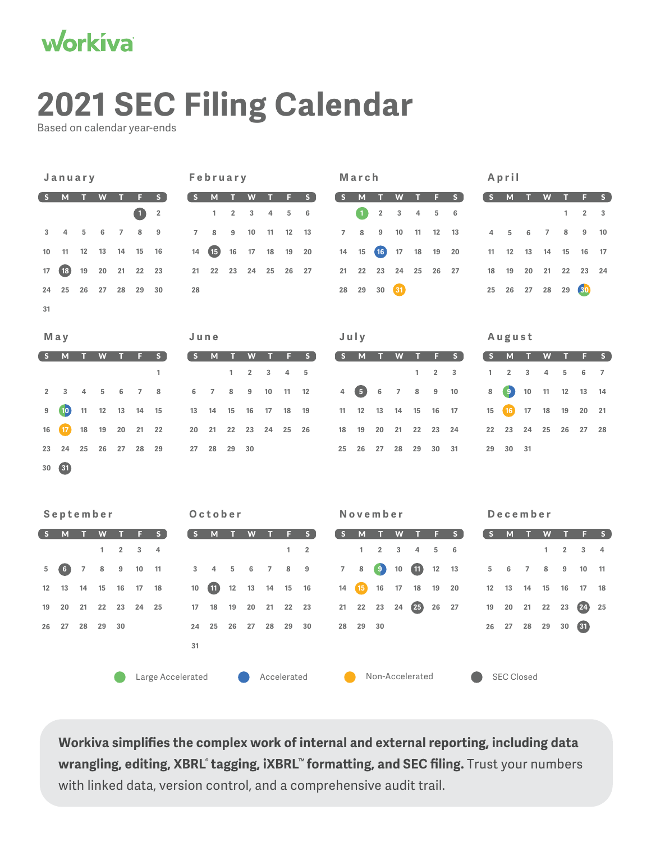

## **2021 SEC Filing Calendar**

Based on calendar year-ends

| January        |                 |                |                           |                |             | February          |                |                |                |                  |                | March      |                         |                |                 |                         |    |                    | April            |                 |                   |                     |        |                |                |                 |                     |
|----------------|-----------------|----------------|---------------------------|----------------|-------------|-------------------|----------------|----------------|----------------|------------------|----------------|------------|-------------------------|----------------|-----------------|-------------------------|----|--------------------|------------------|-----------------|-------------------|---------------------|--------|----------------|----------------|-----------------|---------------------|
| S              | M               | п              | W                         | т              | F           | S                 | S              | M              | п              | W                | ш              | F          | S                       | $\mathsf{S}$   | M               | п                       | W  | п                  | F                | S               | $\mathsf{S}$      | M                   | п      | W              | п              | F               | S                   |
|                |                 |                |                           |                | $\mathbf 0$ | $\overline{2}$    |                | 1              | $\overline{2}$ | 3                | 4              | $\sqrt{5}$ | 6                       |                | $\mathbf{1}$    | $\overline{\mathbf{2}}$ | 3  | $\overline{4}$     | 5                | 6               |                   |                     |        |                | 1              | 2               | 3                   |
| 3              | 4               | 5              | 6                         | $\overline{7}$ | 8           | 9                 | $\overline{7}$ | 8              | 9              | 10               | 11             | 12         | 13                      | 7              | 8               | $\boldsymbol{9}$        | 10 | 11                 | 12               | 13              | 4                 | 5                   | 6      | $\overline{7}$ | 8              | 9               | 10                  |
| 10             | 11              | 12             | 13                        | 14             | 15          | 16                | 14             | 65             | 16             | 17               | 18             | 19         | 20                      | 14             | 15              | (16)                    | 17 | 18                 | 19               | 20              | 11                | 12                  | 13     | 14             | 15             | 16              | 17                  |
| 17             | (18)            | 19             | 20                        | 21             | 22          | 23                | 21             | 22             | 23             | 24               | 25             | 26         | 27                      | 21             | 22              | 23                      | 24 | 25                 | 26               | 27              | 18                | 19                  | 20     | 21             | 22             | 23              | 24                  |
| 24             | 25              | 26             | 27                        | 28             | 29          | 30                | 28             |                |                |                  |                |            |                         | 28             | 29              | 30                      | 61 |                    |                  |                 | 25                | 26                  | 27     | 28             | 29             | 30              |                     |
| 31             |                 |                |                           |                |             |                   |                |                |                |                  |                |            |                         |                |                 |                         |    |                    |                  |                 |                   |                     |        |                |                |                 |                     |
|                |                 |                |                           |                |             |                   |                |                |                |                  |                |            |                         |                |                 |                         |    |                    |                  |                 |                   |                     |        |                |                |                 |                     |
|                | May             |                |                           |                |             |                   | June           |                |                |                  |                |            |                         |                | July            |                         |    |                    |                  |                 |                   | August              |        |                |                |                 |                     |
| S              | M               | п              | $\boldsymbol{\mathsf{W}}$ |                | п           | S<br>1            | S.             | M              | ш<br>1         | W<br>$\mathbf 2$ | 3              | F<br>4     | S<br>5                  | S              | M               | ш                       | W  | 1                  | п<br>$\sqrt{2}$  | S<br>$\sqrt{3}$ | $\mathsf{s}$<br>1 | M<br>$\overline{2}$ | п<br>3 | W<br>4         | п<br>5         | F<br>6          | S<br>$\overline{7}$ |
|                |                 |                |                           |                |             |                   |                |                |                |                  |                |            |                         |                |                 |                         |    |                    |                  |                 |                   |                     |        |                |                |                 |                     |
| $\overline{2}$ | 3               | 4              | 5                         | 6              | 7           | 8                 | 6              | $\overline{7}$ | 8              | 9                | 10             | 11         | 12                      | 4              | $5^{\circ}$     | 6                       | 7  | 8                  | $\boldsymbol{9}$ | 10              | 8                 | $\bullet$           | 10     | 11             | 12             | 13              | 14                  |
| 9              | 10)             | 11             | 12                        | 13             | 14          | 15                | 13             | 14             | 15             | 16               | 17             | 18         | 19                      | 11             | 12              | 13                      | 14 | 15                 | 16               | 17              | 15                | 16                  | 17     | 18             | 19             | 20              | 21                  |
| 16             | 17 <sup>2</sup> | 18             | 19                        | 20             | 21          | 22                | 20             | 21             | 22             | 23               | 24             | 25         | 26                      | 18             | 19              | 20                      | 21 | 22                 | 23               | 24              | 22                | 23                  | 24     | 25             | 26             | 27              | 28                  |
| 23             | 24              | 25             | 26                        | 27             | 28          | 29                | 27             | 28             | 29             | 30               |                |            |                         | 25             | 26              | 27                      | 28 | 29                 | 30               | 31              | 29                | 30                  | 31     |                |                |                 |                     |
| 30             | 6               |                |                           |                |             |                   |                |                |                |                  |                |            |                         |                |                 |                         |    |                    |                  |                 |                   |                     |        |                |                |                 |                     |
|                |                 |                |                           |                |             |                   |                |                |                |                  |                |            |                         |                |                 |                         |    |                    |                  |                 |                   |                     |        |                |                |                 |                     |
| September      |                 |                |                           |                |             | October           |                |                |                |                  |                |            | November                |                |                 |                         |    |                    | December         |                 |                   |                     |        |                |                |                 |                     |
| S.             | M               | т              | W                         | ш              | F           | S                 | S              | M              | . т            | W                | п              | F          | S                       | S              | ${\sf M}$       | ш                       | W  | ш                  | F                | S               | $\mathsf{s}$      | M                   | т      | W              | ш              | F               | S                   |
|                |                 |                | 1                         | $\overline{2}$ | 3           | 4                 |                |                |                |                  |                | 1          | $\overline{\mathbf{2}}$ |                | 1               | 2                       | 3  | $\overline{4}$     | 5                | 6               |                   |                     |        | 1              | $\overline{2}$ | 3               | 4                   |
| 5              | 6)              | $\overline{7}$ | 8                         | 9              | 10          | 11                | 3              | 4              | 5              | $\,6$            | $\overline{7}$ | 8          | 9                       | $\overline{7}$ | 8               | ်ခ္                     | 10 | $\mathbf{u}$       | 12               | 13              | 5                 | 6                   | 7      | 8              | 9              | 10              | 11                  |
| 12             | 13              | 14             | 15                        | 16             | 17          | 18                | 10             | $\bf{u}$       | 12             | 13               | 14             | 15         | 16                      | 14             | 15 <sup>2</sup> | 16                      | 17 | 18                 | 19               | 20              | 12                | 13                  | 14     | 15             | 16             | 17              | 18                  |
| 19             | 20              | 21             | 22                        | 23             | 24          | 25                | 17             | 18             | 19             | 20               | 21             | 22         | 23                      | 21             | 22              | 23                      | 24 | $\left( 25\right)$ | 26               | 27              | 19                | 20                  | 21     | 22             | 23             | $\overline{24}$ | 25                  |
| 26             | 27              | 28             | 29                        | 30             |             |                   | 24             | 25             | 26             | 27               | 28             | 29         | 30                      | 28             | 29              | 30                      |    |                    |                  |                 | 26                | 27                  | 28     | 29             | 30             | 61              |                     |
|                |                 |                |                           |                |             |                   | 31             |                |                |                  |                |            |                         |                |                 |                         |    |                    |                  |                 |                   |                     |        |                |                |                 |                     |
|                |                 |                |                           |                |             |                   |                |                |                |                  |                |            |                         |                |                 |                         |    |                    |                  |                 |                   |                     |        |                |                |                 |                     |
|                |                 |                |                           |                |             | Large Accelerated |                |                |                |                  | Accelerated    |            |                         |                |                 | Non-Accelerated         |    |                    |                  |                 |                   | <b>SEC Closed</b>   |        |                |                |                 |                     |

**Workiva simplifies the complex work of internal and external reporting, including data wrangling, editing, XBRL**® **tagging, iXBRL™ formatting, and SEC filing.** Trust your numbers with linked data, version control, and a comprehensive audit trail.